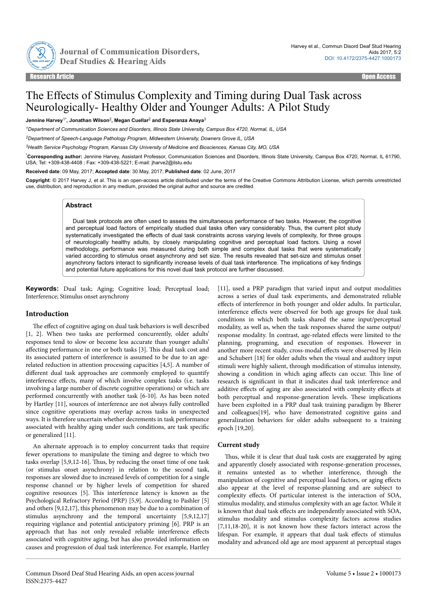

Journal of Communication Disorders,

# The Effects of Stimulus Complexity and Timing during Dual Task across Neurologically- Healthy Older and Younger Adults: A Pilot Study

**Jennine Harvey**1\***, Jonathan Wilson**<sup>2</sup> **, Megan Cuellar**<sup>2</sup>  **and Esperanza Anaya**<sup>3</sup>

*<sup>1</sup>Department of Communication Sciences and Disorders, Illinois State University, Campus Box 4720, Normal, IL, USA*

*<sup>2</sup>Department of Speech-Language Pathology Program, Midwestern University, Downers Grove IL, USA*

*<sup>3</sup>Health Service Psychology Program, Kansas City University of Medicine and Biosciences, Kansas City, MO, USA*

\***Corresponding author:** Jennine Harvey, Assistant Professor, Communication Sciences and Disorders, Illinois State University, Campus Box 4720, Normal, IL 61790, USA, Tel: +309-438-4408 ; Fax: +309-438-5221; E-mail: jharve2@ilstu.edu

**Received date**: 09 May, 2017; **Accepted date**: 30 May, 2017; **Published date**: 02 June, 2017

**Copyright**: © 2017 Harvey J, et al. This is an open-access article distributed under the terms of the Creative Commons Attribution License, which permits unrestricted use, distribution, and reproduction in any medium, provided the original author and source are credited.

#### **Abstract**

Dual task protocols are often used to assess the simultaneous performance of two tasks. However, the cognitive and perceptual load factors of empirically studied dual tasks often vary considerably. Thus, the current pilot study systematically investigated the effects of dual task constraints across varying levels of complexity, for three groups of neurologically healthy adults, by closely manipulating cognitive and perceptual load factors. Using a novel methodology, performance was measured during both simple and complex dual tasks that were systematically varied according to stimulus onset asynchrony and set size. The results revealed that set-size and stimulus onset asynchrony factors interact to significantly increase levels of dual task interference. The implications of key findings and potential future applications for this novel dual task protocol are further discussed.

**Keywords:** Dual task; Aging; Cognitive load; Perceptual load; Interference; Stimulus onset asynchrony

## **Introduction**

The effect of cognitive aging on dual task behaviors is well described [1, 2]. When two tasks are performed concurrently, older adults' responses tend to slow or become less accurate than younger adults' affecting performance in one or both tasks [3]. This dual task cost and its associated pattern of interference is assumed to be due to an agerelated reduction in attention processing capacities [4,5]. A number of different dual task approaches are commonly employed to quantify interference effects, many of which involve complex tasks (i.e. tasks involving a large number of discrete cognitive operations) or which are performed concurrently with another task [6-10]. As has been noted by Hartley [11], sources of interference are not always fully controlled since cognitive operations may overlap across tasks in unexpected ways. It is therefore uncertain whether decrements in task performance associated with healthy aging under such conditions, are task specific or generalized [11].

An alternate approach is to employ concurrent tasks that require fewer operations to manipulate the timing and degree to which two tasks overlap [5,9,12-16]. Нus, by reducing the onset time of one task (or stimulus onset asynchrony) in relation to the second task, responses are slowed due to increased levels of competition for a single response channel or by higher levels of competition for shared cognitive resources [5]. Нis interference latency is known as the Psychological Refractory Period (PRP) [5,9]. According to Pashler [5] and others [9,12,17], this phenomenon may be due to a combination of stimulus asynchrony and the temporal uncertainty [5,9,12,17] requiring vigilance and potential anticipatory priming [6]. PRP is an approach that has not only revealed reliable interference effects associated with cognitive aging, but has also provided information on causes and progression of dual task interference. For example, Hartley

[11], used a PRP paradigm that varied input and output modalities across a series of dual task experiments, and demonstrated reliable effects of interference in both younger and older adults. In particular, interference effects were observed for both age groups for dual task conditions in which both tasks shared the same input/perceptual modality, as well as, when the task responses shared the same output/ response modality. In contrast, age-related effects were limited to the planning, programing, and execution of responses. However in another more recent study, cross-modal effects were observed by Hein and Schubert [18] for older adults when the visual and auditory input stimuli were highly salient, through modification of stimulus intensity, showing a condition in which aging affects can occur. This line of research is significant in that it indicates dual task interference and additive effects of aging are also associated with complexity effects at both perceptual and response-generation levels. Нese implications have been exploited in a PRP dual task training paradigm by Bherer and colleagues[19], who have demonstrated cognitive gains and generalization behaviors for older adults subsequent to a training epoch [19,20].

## **Current study**

Thus, while it is clear that dual task costs are exaggerated by aging and apparently closely associated with response-generation processes, it remains untested as to whether interference, through the manipulation of cognitive and perceptual load factors, or aging effects also appear at the level of response-planning and are subject to complexity effects. Of particular interest is the interaction of SOA, stimulus modality, and stimulus complexity with an age factor. While it is known that dual task effects are independently associated with SOA, stimulus modality and stimulus complexity factors across studies [7,11,18-20], it is not known how these factors interact across the lifespan. For example, it appears that dual task effects of stimulus modality and advanced old age are most apparent at perceptual stages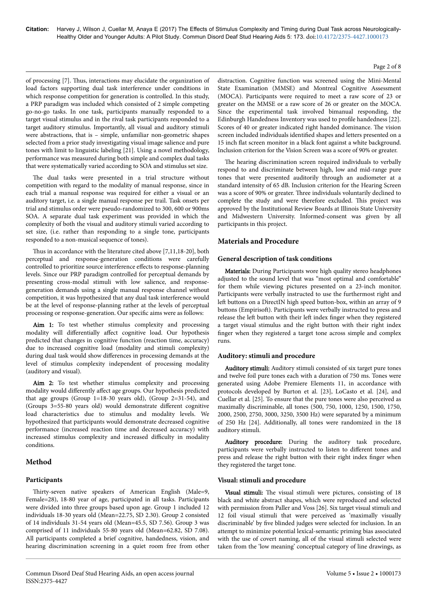of processing [7]. Нus, interactions may elucidate the organization of load factors supporting dual task interference under conditions in which response competition for generation is controlled. In this study, a PRP paradigm was included which consisted of 2 simple competing go-no-go tasks. In one task, participants manually responded to a target visual stimulus and in the rival task participants responded to a target auditory stimulus. Importantly, all visual and auditory stimuli were abstractions, that is – simple, unfamiliar non-geometric shapes selected from a prior study investigating visual image salience and pure tones with limit to linguistic labeling [21]. Using a novel methodology, performance was measured during both simple and complex dual tasks that were systematically varied according to SOA and stimulus set size.

The dual tasks were presented in a trial structure without competition with regard to the modality of manual response, since in each trial a manual response was required for either a visual or an auditory target, i.e. a single manual response per trail. Task onsets per trial and stimulus order were pseudo-randomized to 300, 600 or 900ms SOA. A separate dual task experiment was provided in which the complexity of both the visual and auditory stimuli varied according to set size, (i.e. rather than responding to a single tone, participants responded to a non-musical sequence of tones).

Thus in accordance with the literature cited above [7,11,18-20], both perceptual and response-generation conditions were carefully controlled to prioritize source interference effects to response-planning levels. Since our PRP paradigm controlled for perceptual demands by presenting cross-modal stimuli with low salience, and responsegeneration demands using a single manual response channel without competition, it was hypothesized that any dual task interference would be at the level of response-planning rather at the levels of perceptual processing or response-generation. Our specific aims were as follows:

Aim 1: To test whether stimulus complexity and processing modality will differentially affect cognitive load. Our hypothesis predicted that changes in cognitive function (reaction time, accuracy) due to increased cognitive load (modality and stimuli complexity) during dual task would show differences in processing demands at the level of stimulus complexity independent of processing modality (auditory and visual).

Aim 2: To test whether stimulus complexity and processing modality would differently affect age groups. Our hypothesis predicted that age groups (Group  $1=18-30$  years old), (Group  $2=31-54$ ), and (Groups  $3=55-80$  years old) would demonstrate different cognitive load characteristics due to stimulus and modality levels. We hypothesized that participants would demonstrate decreased cognitive performance (increased reaction time and decreased accuracy) with increased stimulus complexity and increased difficulty in modality conditions.

# **Method**

## **Participants**

Thirty-seven native speakers of American English (Male=9, Female=28), 18-80 year of age, participated in all tasks. Participants were divided into three groups based upon age. Group 1 included 12 individuals 18-30 years old (Mean=22.75, SD 2.30). Group 2 consisted of 14 individuals 31-54 years old (Mean=45.5, SD 7.56). Group 3 was comprised of 11 individuals 55-80 years old (Mean=62.82, SD 7.08). All participants completed a brief cognitive, handedness, vision, and hearing discrimination screening in a quiet room free from other distraction. Cognitive function was screened using the Mini-Mental State Examination (MMSE) and Montreal Cognitive Assessment (MOCA). Participants were required to meet a raw score of 23 or greater on the MMSE or a raw score of 26 or greater on the MOCA. Since the experimental task involved bimanual responding, the Edinburgh Handedness Inventory was used to profile handedness [22]. Scores of 40 or greater indicated right handed dominance. Нe vision screen included individuals identified shapes and letters presented on a 15 inch flat screen monitor in a black font against a white background. Inclusion criterion for the Vision Screen was a score of 90% or greater.

The hearing discrimination screen required individuals to verbally respond to and discriminate between high, low and mid-range pure tones that were presented auditorily through an audiometer at a standard intensity of 65 dB. Inclusion criterion for the Hearing Screen was a score of 90% or greater. Нree individuals voluntarily declined to complete the study and were therefore excluded. Нis project was approved by the Institutional Review Boards at Illinois State University and Midwestern University. Informed-consent was given by all participants in this project.

## **Materials and Procedure**

## **General description of task conditions**

Materials: During Participants wore high quality stereo headphones adjusted to the sound level that was "most optimal and comfortable" for them while viewing pictures presented on a 23-inch monitor. Participants were verbally instructed to use the furthermost right and left buttons on a DirectIN high speed button-box, within an array of 9 buttons (Empirisoft). Participants were verbally instructed to press and release the left button with their left index finger when they registered a target visual stimulus and the right button with their right index finger when they registered a target tone across simple and complex runs.

## **Auditory: stimuli and procedure**

Auditory stimuli: Auditory stimuli consisted of six target pure tones and twelve foil pure tones each with a duration of 750 ms. Tones were generated using Adobe Premiere Elements 11, in accordance with protocols developed by Burton et al. [23], LoCasto et al. [24], and Cuellar et al. [25]. To ensure that the pure tones were also perceived as maximally discriminable, all tones (500, 750, 1000, 1250, 1500, 1750, 2000, 2500, 2750, 3000, 3250, 3500 Hz) were separated by a minimum of 250 Hz [24]. Additionally, all tones were randomized in the 18 auditory stimuli.

Auditory procedure: During the auditory task procedure, participants were verbally instructed to listen to different tones and press and release the right button with their right index finger when they registered the target tone.

## **Visual: stimuli and procedure**

Visual stimuli: Нe visual stimuli were pictures, consisting of 18 black and white abstract shapes, which were reproduced and selected with permission from Paller and Voss [26]. Six target visual stimuli and 12 foil visual stimuli that were perceived as 'maximally visually discriminable' by five blinded judges were selected for inclusion. In an attempt to minimize potential lexical-semantic priming bias associated with the use of covert naming, all of the visual stimuli selected were taken from the 'low meaning' conceptual category of line drawings, as

#### Page 2 of 8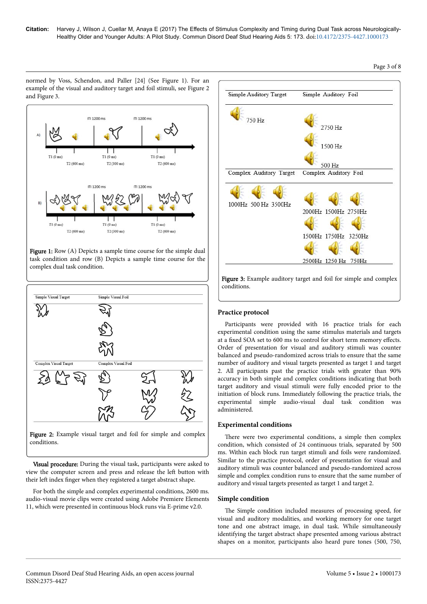normed by Voss, Schendon, and Paller [24] (See Figure 1). For an example of the visual and auditory target and foil stimuli, see Figure 2 and Figure 3.







Figure 2: Example visual target and foil for simple and complex conditions.

Visual procedure: During the visual task, participants were asked to view the computer screen and press and release the left button with their left index finger when they registered a target abstract shape.

For both the simple and complex experimental conditions, 2600 ms. audio-visual movie clips were created using Adobe Premiere Elements 11, which were presented in continuous block runs via E-prime v2.0.



# **Practice protocol**

Participants were provided with 16 practice trials for each experimental condition using the same stimulus materials and targets at a fixed SOA set to 600 ms to control for short term memory effects. Order of presentation for visual and auditory stimuli was counter balanced and pseudo-randomized across trials to ensure that the same number of auditory and visual targets presented as target 1 and target 2. All participants past the practice trials with greater than 90% accuracy in both simple and complex conditions indicating that both target auditory and visual stimuli were fully encoded prior to the initiation of block runs. Immediately following the practice trials, the experimental simple audio-visual dual task condition was administered.

## **Experimental conditions**

There were two experimental conditions, a simple then complex condition, which consisted of 24 continuous trials, separated by 500 ms. Within each block run target stimuli and foils were randomized. Similar to the practice protocol, order of presentation for visual and auditory stimuli was counter balanced and pseudo-randomized across simple and complex condition runs to ensure that the same number of auditory and visual targets presented as target 1 and target 2.

## **Simple condition**

The Simple condition included measures of processing speed, for visual and auditory modalities, and working memory for one target tone and one abstract image, in dual task. While simultaneously identifying the target abstract shape presented among various abstract shapes on a monitor, participants also heard pure tones (500, 750,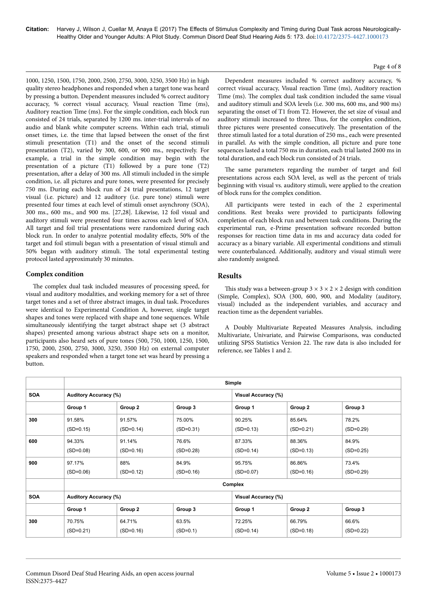1000, 1250, 1500, 1750, 2000, 2500, 2750, 3000, 3250, 3500 Hz) in high quality stereo headphones and responded when a target tone was heard by pressing a button. Dependent measures included % correct auditory accuracy, % correct visual accuracy, Visual reaction Time (ms), Auditory reaction Time (ms). For the simple condition, each block run consisted of 24 trials, separated by 1200 ms. inter-trial intervals of no audio and blank white computer screens. Within each trial, stimuli onset times, i.e. the time that lapsed between the onset of the first stimuli presentation (T1) and the onset of the second stimuli presentation (T2), varied by 300, 600, or 900 ms., respectively. For example, a trial in the simple condition may begin with the presentation of a picture (T1) followed by a pure tone (T2) presentation, after a delay of 300 ms. All stimuli included in the simple condition, i.e. all pictures and pure tones, were presented for precisely 750 ms. During each block run of 24 trial presentations, 12 target visual (i.e. picture) and 12 auditory (i.e. pure tone) stimuli were presented four times at each level of stimuli onset asynchrony (SOA), 300 ms., 600 ms., and 900 ms. [27,28]. Likewise, 12 foil visual and auditory stimuli were presented four times across each level of SOA. All target and foil trial presentations were randomized during each block run. In order to analyze potential modality effects, 50% of the target and foil stimuli began with a presentation of visual stimuli and 50% began with auditory stimuli. Нe total experimental testing protocol lasted approximately 30 minutes.

## **Complex condition**

The complex dual task included measures of processing speed, for visual and auditory modalities, and working memory for a set of three target tones and a set of three abstract images, in dual task. Procedures were identical to Experimental Condition A, however, single target shapes and tones were replaced with shape and tone sequences. While simultaneously identifying the target abstract shape set (3 abstract shapes) presented among various abstract shape sets on a monitor, participants also heard sets of pure tones (500, 750, 1000, 1250, 1500, 1750, 2000, 2500, 2750, 3000, 3250, 3500 Hz) on external computer speakers and responded when a target tone set was heard by pressing a button.

Dependent measures included % correct auditory accuracy, % correct visual accuracy, Visual reaction Time (ms), Auditory reaction Time (ms). Нe complex dual task condition included the same visual and auditory stimuli and SOA levels (i.e. 300 ms, 600 ms, and 900 ms) separating the onset of T1 from T2. However, the set size of visual and auditory stimuli increased to three. Нus, for the complex condition, three pictures were presented consecutively. Нe presentation of the three stimuli lasted for a total duration of 250 ms., each were presented in parallel. As with the simple condition, all picture and pure tone sequences lasted a total 750 ms in duration, each trial lasted 2600 ms in total duration, and each block run consisted of 24 trials.

The same parameters regarding the number of target and foil presentations across each SOA level, as well as the percent of trials beginning with visual vs. auditory stimuli, were applied to the creation of block runs for the complex condition.

All participants were tested in each of the 2 experimental conditions. Rest breaks were provided to participants following completion of each block run and between task conditions. During the experimental run, e-Prime presentation software recorded button responses for reaction time data in ms and accuracy data coded for accuracy as a binary variable. All experimental conditions and stimuli were counterbalanced. Additionally, auditory and visual stimuli were also randomly assigned.

## **Results**

This study was a between-group  $3 \times 3 \times 2 \times 2$  design with condition (Simple, Complex), SOA (300, 600, 900, and Modality (auditory, visual) included as the independent variables, and accuracy and reaction time as the dependent variables.

A Doubly Multivariate Repeated Measures Analysis, including Multivariate, Univariate, and Pairwise Comparisons, was conducted utilizing SPSS Statistics Version 22. Нe raw data is also included for reference, see Tables 1 and 2.

|            | Simple                       |                       |                       |                            |                       |                      |  |
|------------|------------------------------|-----------------------|-----------------------|----------------------------|-----------------------|----------------------|--|
| <b>SOA</b> | <b>Auditory Accuracy (%)</b> |                       |                       | <b>Visual Accuracy (%)</b> |                       |                      |  |
|            | Group 1                      | Group 2               | Group 3               | Group 1                    | Group 2               | Group 3              |  |
| 300        | 91.58%<br>$(SD=0.15)$        | 91.57%<br>$(SD=0.14)$ | 75.00%<br>$(SD=0.31)$ | 90.25%<br>$(SD=0.13)$      | 85.64%<br>$(SD=0.21)$ | 78.2%<br>$(SD=0.29)$ |  |
| 600        | 94.33%<br>$(SD=0.08)$        | 91.14%<br>$(SD=0.16)$ | 76.6%<br>$(SD=0.28)$  | 87.33%<br>$(SD=0.14)$      | 88.36%<br>$(SD=0.13)$ | 84.9%<br>$(SD=0.25)$ |  |
| 900        | 97.17%<br>$(SD=0.06)$        | 88%<br>$(SD=0.12)$    | 84.9%<br>$(SD=0.16)$  | 95.75%<br>$(SD=0.07)$      | 86.86%<br>$(SD=0.16)$ | 73.4%<br>$(SD=0.29)$ |  |
|            | Complex                      |                       |                       |                            |                       |                      |  |
| <b>SOA</b> | <b>Auditory Accuracy (%)</b> |                       |                       | <b>Visual Accuracy (%)</b> |                       |                      |  |
|            | Group 1                      | Group 2               | Group 3               | Group 1                    | Group 2               | Group 3              |  |
| 300        | 70.75%<br>$(SD=0.21)$        | 64.71%<br>$(SD=0.16)$ | 63.5%<br>$(SD=0.1)$   | 72.25%<br>$(SD=0.14)$      | 66.79%<br>$(SD=0.18)$ | 66.6%<br>$(SD=0.22)$ |  |

Page 4 of 8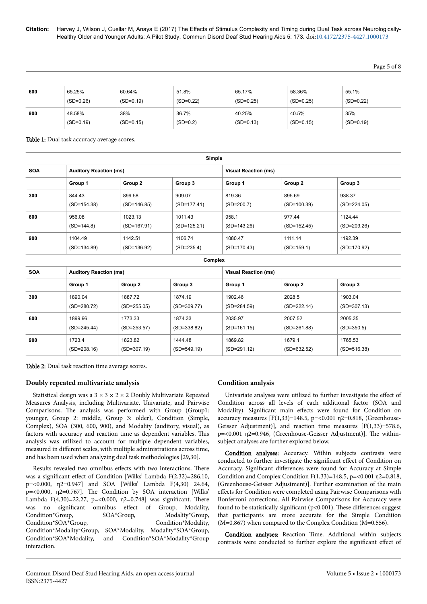Page 5 of 8

| 600 | 65.25%      | 60.64%      | 51.8%       | 65.17%      | 58.36%      | 55.1%       |
|-----|-------------|-------------|-------------|-------------|-------------|-------------|
|     | $(SD=0.26)$ | $(SD=0.19)$ | $(SD=0.22)$ | $(SD=0.25)$ | $(SD=0.25)$ | $(SD=0.22)$ |
| 900 | 48.58%      | 38%         | 36.7%       | 40.25%      | 40.5%       | 35%         |
|     | $(SD=0.19)$ | $(SD=0.15)$ | $(SD=0.2)$  | $(SD=0.13)$ | $(SD=0.15)$ | $(SD=0.19)$ |

Table 1: Dual task accuracy average scores.

| Simple     |                               |               |               |                             |               |               |  |  |
|------------|-------------------------------|---------------|---------------|-----------------------------|---------------|---------------|--|--|
| <b>SOA</b> | <b>Auditory Reaction (ms)</b> |               |               | <b>Visual Reaction (ms)</b> |               |               |  |  |
|            | Group 1                       | Group 2       | Group 3       | Group 1                     | Group 2       | Group 3       |  |  |
| 300        | 844.43                        | 899.58        | 909.07        | 819.36                      | 895.69        | 938.37        |  |  |
|            | $(SD=154.38)$                 | $(SD=146.85)$ | $(SD=177.41)$ | $(SD=200.7)$                | $(SD=100.39)$ | $(SD=224.05)$ |  |  |
| 600        | 956.08                        | 1023.13       | 1011.43       | 958.1                       | 977.44        | 1124.44       |  |  |
|            | $(SD=144.8)$                  | $(SD=167.91)$ | $(SD=125.21)$ | $(SD=143.26)$               | $(SD=152.45)$ | $(SD=209.26)$ |  |  |
| 900        | 1104.49                       | 1142.51       | 1106.74       | 1080.47                     | 1111.14       | 1192.39       |  |  |
|            | $(SD=134.89)$                 | $(SD=136.92)$ | $(SD=235.4)$  | $(SD=170.43)$               | $(SD=159.1)$  | $(SD=170.92)$ |  |  |
| Complex    |                               |               |               |                             |               |               |  |  |
| <b>SOA</b> | <b>Auditory Reaction (ms)</b> |               |               | <b>Visual Reaction (ms)</b> |               |               |  |  |
|            | Group 1                       | Group 2       | Group 3       | Group 1                     | Group 2       | Group 3       |  |  |
| 300        | 1890.04                       | 1887.72       | 1874.19       | 1902.46                     | 2028.5        | 1903.04       |  |  |
|            | $(SD=280.72)$                 | $(SD=255.05)$ | $(SD=309.77)$ | $(SD=284.59)$               | $(SD=222.14)$ | $(SD=307.13)$ |  |  |
| 600        | 1899.96                       | 1773.33       | 1874.33       | 2035.97                     | 2007.52       | 2005.35       |  |  |
|            | $(SD=245.44)$                 | $(SD=253.57)$ | $(SD=338.82)$ | $(SD=161.15)$               | $(SD=261.88)$ | $(SD=350.5)$  |  |  |
| 900        | 1723.4                        | 1823.82       | 1444.48       | 1869.82                     | 1679.1        | 1765.53       |  |  |
|            | $(SD=208.16)$                 | $(SD=307.19)$ | $(SD=549.19)$ | $(SD=291.12)$               | $(SD=632.52)$ | $(SD=516.38)$ |  |  |

Table 2: Dual task reaction time average scores.

## **Doubly repeated multivariate analysis**

Statistical design was a  $3 \times 3 \times 2 \times 2$  Doubly Multivariate Repeated Measures Analysis, including Multivariate, Univariate, and Pairwise Comparisons. Нe analysis was performed with Group (Group1: younger, Group 2: middle, Group 3: older), Condition (Simple, Complex), SOA (300, 600, 900), and Modality (auditory, visual), as factors with accuracy and reaction time as dependent variables. Нis analysis was utilized to account for multiple dependent variables, measured in different scales, with multiple administrations across time, and has been used when analyzing dual task methodologies [29,30].

Results revealed two omnibus effects with two interactions. There was a significant effect of Condition [Wilks' Lambda F $(2,32)=286.10$ , p=<0.000, η2=0.947] and SOA [Wilks' Lambda F(4,30) 24.64, p=<0.000, η2=0.767]. Нe Condition by SOA interaction [Wilks' Lambda F(4,30)=22.27, p=<0.000,  $\eta$ 2=0.748] was significant. There was no significant omnibus effect of Group, Modality, Condition\*Group, SOA\*Group, Modality\*Group, Condition\*SOA\*Group, Condition\*Modality, Condition\*Modality\*Group, SOA\*Modality, Modality\*SOA\*Group, Condition\*SOA\*Modality, and Condition\*SOA\*Modality\*Group interaction.

## **Condition analysis**

Univariate analyses were utilized to further investigate the effect of Condition across all levels of each additional factor (SOA and Modality). Significant main effects were found for Condition on accuracy measures [F(1,33)=148.5, p=<0.001 η2=0.818, (Greenhouse-Geisser Adjustment)], and reaction time measures [F(1,33)=578.6, p=<0.001 η2=0.946, (Greenhouse-Geisser Adjustment)]. Нe withinsubject analyses are further explored below.

Condition analyses: Accuracy. Within subjects contrasts were conducted to further investigate the significant effect of Condition on Accuracy. Significant differences were found for Accuracy at Simple Condition and Complex Condition F(1,33)=148.5, p=<0.001 η2=0.818, (Greenhouse-Geisser Adjustment)]. Further examination of the main effects for Condition were completed using Pairwise Comparisons with Bonferroni corrections. All Pairwise Comparisons for Accuracy were found to be statistically significant ( $p<0.001$ ). These differences suggest that participants are more accurate for the Simple Condition (M=0.867) when compared to the Complex Condition (M=0.556).

Condition analyses: Reaction Time. Additional within subjects contrasts were conducted to further explore the significant effect of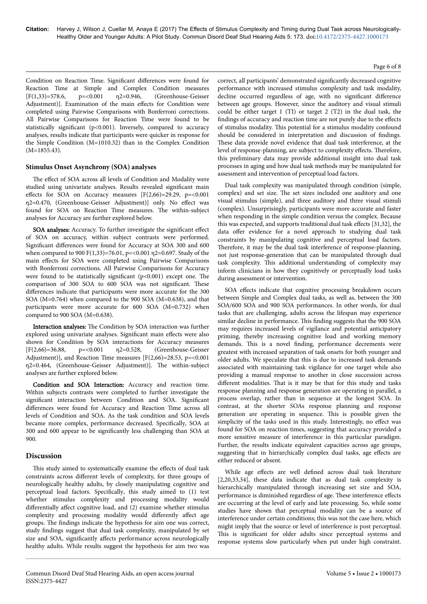Condition on Reaction Time. Significant differences were found for Reaction Time at Simple and Complex Condition measures [F(1,33)=578.6, p=<0.001 η2=0.946, (Greenhouse-Geisser Adjustment)]. Examination of the main effects for Condition were completed using Pairwise Comparisons with Bonferroni corrections. All Pairwise Comparisons for Reaction Time were found to be statistically significant ( $p<0.001$ ). Inversely, compared to accuracy analyses, results indicate that participants were quicker in response for the Simple Condition (M=1010.32) than in the Complex Condition (M=1855.43).

## **Stimulus Onset Asynchrony (SOA) analyses**

The effect of SOA across all levels of Condition and Modality were studied using univariate analyses. Results revealed significant main effects for SOA on Accuracy measures  $[F(2,66)=29.29, p=<0.001]$ η2=0.470, (Greenhouse-Geisser Adjustment)] only. No effect was found for SOA on Reaction Time measures. Нe within-subject analyses for Accuracy are further explored below.

SOA analyses: Accuracy. To further investigate the significant effect of SOA on accuracy, within subject contrasts were performed. Significant differences were found for Accuracy at SOA 300 and 600 when compared to 900 F(1,33)=76.01, p=<0.001 η2=0.697. Study of the main effects for SOA were completed using Pairwise Comparisons with Bonferroni corrections. All Pairwise Comparisons for Accuracy were found to be statistically significant  $(p<0.001)$  except one. The comparison of 300 SOA to 600 SOA was not significant. These differences indicate that participants were more accurate for the 300 SOA (M=0.764) when compared to the 900 SOA (M=0.638), and that participants were more accurate for 600 SOA (M=0.732) when compared to 900 SOA (M=0.638).

Interaction analyses: Нe Condition by SOA interaction was further explored using univariate analyses. Significant main effects were also shown for Condition by SOA interactions for Accuracy measures [F(2,66)=36.88, p=<0.001 η2=0.528, (Greenhouse-Geisser Adjustment)], and Reaction Time measures [F(2,66)=28.53, p=<0.001 η2=0.464, (Greenhouse-Geisser Adjustment)]. Нe within-subject analyses are further explored below.

Condition and SOA Interaction: Accuracy and reaction time. Within subjects contrasts were completed to further investigate the significant interaction between Condition and SOA. Significant differences were found for Accuracy and Reaction Time across all levels of Condition and SOA. As the task condition and SOA levels became more complex, performance decreased. Specifically, SOA at 300 and 600 appear to be significantly less challenging than SOA at 900.

## **Discussion**

This study aimed to systematically examine the effects of dual task constraints across different levels of complexity, for three groups of neurologically healthy adults, by closely manipulating cognitive and perceptual load factors. Specifically, this study aimed to (1) test whether stimulus complexity and processing modality would differentially affect cognitive load, and (2) examine whether stimulus complexity and processing modality would differently affect age groups. Нe findings indicate the hypothesis for aim one was correct, study findings suggest that dual task complexity, manipulated by set size and SOA, significantly affects performance across neurologically healthy adults. While results suggest the hypothesis for aim two was

correct, all participants' demonstrated significantly decreased cognitive performance with increased stimulus complexity and task modality, decline occurred regardless of age, with no significant difference between age groups. However, since the auditory and visual stimuli could be either target 1 (TI) or target 2 (T2) in the dual task, the findings of accuracy and reaction time are not purely due to the effects of stimulus modality. Нis potential for a stimulus modality confound should be considered in interpretation and discussion of findings. These data provide novel evidence that dual task interference, at the level of response-planning, are subject to complexity effects. Therefore, this preliminary data may provide additional insight into dual task processes in aging and how dual task methods may be manipulated for assessment and intervention of perceptual load factors. Dual task complexity was manipulated through condition (simple,

complex) and set size. Нe set sizes included one auditory and one visual stimulus (simple), and three auditory and three visual stimuli (complex). Unsurprisingly, participants were more accurate and faster when responding in the simple condition versus the complex. Because this was expected, and supports traditional dual task effects  $[31,32]$ , the data offer evidence for a novel approach to studying dual task constraints by manipulating cognitive and perceptual load factors. Therefore, it may be the dual task interference of response-planning, not just response-generation that can be manipulated through dual task complexity. Нis additional understanding of complexity may inform clinicians in how they cognitively or perceptually load tasks during assessment or intervention.

SOA effects indicate that cognitive processing breakdown occurs between Simple and Complex dual tasks, as well as, between the 300 SOA/600 SOA and 900 SOA performances. In other words, for dual tasks that are challenging, adults across the lifespan may experience similar decline in performance. Нis finding suggests that the 900 SOA may requires increased levels of vigilance and potential anticipatory priming, thereby increasing cognitive load and working memory demands. Нis is a novel finding, performance decrements were greatest with increased separation of task onsets for both younger and older adults. We speculate that this is due to increased task demands associated with maintaining task vigilance for one target while also providing a manual response to another in close succession across different modalities. That is it may be that for this study and tasks response planning and response generation are operating in parallel, a process overlap, rather than in sequence at the longest SOA. In contrast, at the shorter SOAs response planning and response generation are operating in sequence. Нis is possible given the simplicity of the tasks used in this study. Interestingly, no effect was found for SOA on reaction times, suggesting that accuracy provided a more sensitive measure of interference in this particular paradigm. Further, the results indicate equivalent capacities across age groups, suggesting that in hierarchically complex dual tasks, age effects are either reduced or absent.

While age effects are well defined across dual task literature [2,20,33,34], these data indicate that as dual task complexity is hierarchically manipulated through increasing set size and SOA, performance is diminished regardless of age. These interference effects are occurring at the level of early and late processing. So, while some studies have shown that perceptual modality can be a source of interference under certain conditions; this was not the case here, which might imply that the source or level of interference is post perceptual. This is significant for older adults since perceptual systems and response systems slow particularly when put under high constraint.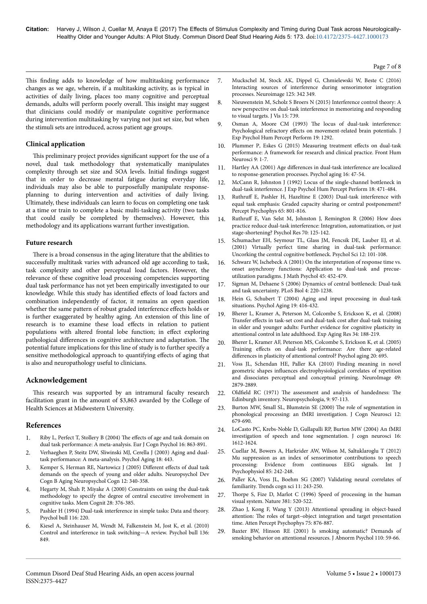This finding adds to knowledge of how multitasking performance changes as we age, wherein, if a multitasking activity, as is typical in activities of daily living, places too many cognitive and perceptual demands, adults will perform poorly overall. Нis insight may suggest that clinicians could modify or manipulate cognitive performance during intervention multitasking by varying not just set size, but when the stimuli sets are introduced, across patient age groups.

## **Clinical application**

This preliminary project provides significant support for the use of a novel, dual task methodology that systematically manipulates complexity through set size and SOA levels. Initial findings suggest that in order to decrease mental fatigue during everyday life, individuals may also be able to purposefully manipulate responseplanning to during intervention and activities of daily living. Ultimately, these individuals can learn to focus on completing one task at a time or train to complete a basic multi-tasking activity (two tasks that could easily be completed by themselves). However, this methodology and its applications warrant further investigation.

#### **Future research**

There is a broad consensus in the aging literature that the abilities to successfully multitask varies with advanced old age according to task, task complexity and other perceptual load factors. However, the relevance of these cognitive load processing competencies supporting dual task performance has not yet been empirically investigated to our knowledge. While this study has identified effects of load factors and combination independently of factor, it remains an open question whether the same pattern of robust graded interference effects holds or is further exaggerated by healthy aging. An extension of this line of research is to examine these load effects in relation to patient populations with altered frontal lobe function; in effect exploring pathological differences in cognitive architecture and adaptation. The potential future implications for this line of study is to further specify a sensitive methodological approach to quantifying effects of aging that is also and neuropathology useful to clinicians.

## **Acknowledgement**

This research was supported by an intramural faculty research facilitation grant in the amount of \$3,863 awarded by the College of Health Sciences at Midwestern University.

## **References**

- 1. [Riby L, Perfect T, Stollery B \(2004\)](http://dx.doi.org/10.1080/09541440340000402) The effects of age and task domain on [dual task performance: A meta-analysis. Eur J Cogn Psychol 16: 863-891.](http://dx.doi.org/10.1080/09541440340000402)
- 2. [Verhaeghen P, Steitz DW, Sliwinski MJ, Cerella J \(2003\) Aging and dual](https://doi.org/10.1037/0882-7974.18.3.443)[task performance: A meta-analysis. Psychol Aging 18: 443.](https://doi.org/10.1037/0882-7974.18.3.443)
- 3. Kemper S, Herman RE, Nartowicz J (2005) Different effects of dual task demands on the speech of young and older adults. Neuropsychol Dev Cogn B Aging Neuropsychol Cogn 12: 340-358.
- 4. Hegarty M, Shah P, Miyake A (2000) Constraints on using the dual-task methodology to specify the degree of central executive involvement in cognitive tasks. Mem Cognit 28: 376-385.
- 5. [Pashler H \(1994\) Dual-task interference in simple tasks: Data and theory.](http://dx.doi.org/10.1037/0033-2909.116.2.220) [Psychol bull 116: 220.](http://dx.doi.org/10.1037/0033-2909.116.2.220)
- 6. [Kiesel A, Steinhauser M, Wendt M, Falkenstein M, Jost K, et al. \(2010\)](doi:%2010.1037/a0019842) [Control and interference in task switching—A review. Psychol bull 136:](doi:%2010.1037/a0019842) [849.](doi:%2010.1037/a0019842)
- 7. [Muckschel M, Stock AK, Dippel G, Chmielewski W, Beste C \(2016\)](doi:%2010.1016/j.neuroimage.2015.09.075) [Interacting sources of interference during sensorimotor integration](doi:%2010.1016/j.neuroimage.2015.09.075) [processes. Neuroimage 125: 342 349.](doi:%2010.1016/j.neuroimage.2015.09.075)
- 8. [Nieuwenstein M, Scholz S Broers N \(2015\) Interference control theory: A](http://dx.doi.org/0.1167/15.12.739) [new perspective on dual-task interference in memorizing and responding](http://dx.doi.org/0.1167/15.12.739) [to visual targets. J Vis 15: 739.](http://dx.doi.org/0.1167/15.12.739)
- 9. Osman A, Moore CM (1993) Нe [locus of dual-task interference:](http://dx.doi.org/10.1037/0096-1523.19.6.1292) Psychological refractory effects [on movement-related brain potentials. J](http://dx.doi.org/10.1037/0096-1523.19.6.1292) [Exp Psychol Hum Percept Perform 19: 1292.](http://dx.doi.org/10.1037/0096-1523.19.6.1292)
- 10. [Plummer P, Eskes G \(2015\) Measuring treatment](http://dx.doi.org/10.3389/fnhum.2015.00225) effects on dual-task [performance: A framework for research and clinical practice. Front Hum](http://dx.doi.org/10.3389/fnhum.2015.00225) [Neurosci 9: 1-7.](http://dx.doi.org/10.3389/fnhum.2015.00225)
- 11. Hartley AA (2001) Age differences [in dual-task interference are localized](http://dx.doi.org/10.1037/0882-7974.16.1.47) [to response-generation processes. Psychol aging 16: 47-54.](http://dx.doi.org/10.1037/0882-7974.16.1.47)
- 12. [McCann R, Johnston J \(1992\) Locus of the single-channel bottleneck in](http://dx.doi.org/10.1037/0096-1523.18.2.471) [dual-task interference. J Exp Psychol Hum Percept Perform 18: 471-484.](http://dx.doi.org/10.1037/0096-1523.18.2.471)
- 13. Ruthruff E, Pashler H, Hazeltine E (2003) Dual-task interference with equal task emphasis: Graded capacity sharing or central postponement? Percept Psychophys 65: 801-816.
- 14. Ruthruff [E, Van Selst M, Johnston J, Remington R \(2006\) How does](http://dx.doi.org/10.1007/s00426-004-0192-7) [practice reduce dual-task interference: Integration, automatization, or just](http://dx.doi.org/10.1007/s00426-004-0192-7) [stage-shortening? Psychol Res 70: 125-142.](http://dx.doi.org/10.1007/s00426-004-0192-7)
- 15. Schumacher EH, Seymour TL, Glass JM, Fencsik DE, Lauber EJ, et al. (2001) Virtually perfect time sharing in dual-task performance: Uncorking the central cognitive bottleneck. Psychol Sci 12: 101-108.
- 16. [Schwarz W, Ischebeck A \(2001\) On the interpretation of response time vs.](http://dx.doi.org/10.1006/jmps.2000.1336) [onset asynchrony functions: Application to dual-task and precue](http://dx.doi.org/10.1006/jmps.2000.1336)[utilization paradigms. J Math Psychol 45: 452-479.](http://dx.doi.org/10.1006/jmps.2000.1336)
- 17. [Sigman M, Dehaene S \(2006\) Dynamics of central bottleneck: Dual-task](http://dx.doi.org/10.1371/journal.pbio.0040220) [and task uncertainty. PLoS Biol 4: 220-1238.](http://dx.doi.org/10.1371/journal.pbio.0040220)
- 18. [Hein G, Schubert T \(2004\) Aging and input processing in dual-task](http://dx.doi.org/10.1037/0882-7974.19.3.416) [situations. Psychol Aging 19: 416-432.](http://dx.doi.org/10.1037/0882-7974.19.3.416)
- 19. [Bherer L, Kramer A, Peterson M, Colcombe S, Erickson K, et al. \(2008\)](http://dx.doi.org/10.1080/03610730802070068) Transfer effects [in task-set cost and dual-task cost](http://dx.doi.org/10.1080/03610730802070068) after dual-task training [in older and younger adults: Further evidence for cognitive plasticity in](http://dx.doi.org/10.1080/03610730802070068) [attentional control in late adulthood. Exp Aging Res 34: 188-219.](http://dx.doi.org/10.1080/03610730802070068)
- 20. [Bherer L, Kramer AF, Peterson MS, Colcombe S, Erickson K, et al. \(2005\)](http://dx.doi.org/10.1037/0882-7974.20.4.695) Training effects [on dual-task performance: Are there age-related](http://dx.doi.org/10.1037/0882-7974.20.4.695) differences [in plasticity of attentional control? Psychol aging 20: 695.](http://dx.doi.org/10.1037/0882-7974.20.4.695)
- [Voss JL, Schendan HE, Paller KA \(2010\) Finding meaning in novel](http://dx.doi.org/10.1016/j.neuroimage.2009.09.012) geometric shapes influences [electrophysiological correlates of repetition](http://dx.doi.org/10.1016/j.neuroimage.2009.09.012) [and dissociates perceptual and conceptual priming. NeuroImage 49:](http://dx.doi.org/10.1016/j.neuroimage.2009.09.012) [2879-2889](http://dx.doi.org/10.1016/j.neuroimage.2009.09.012).
- 22. Oldfield RC (1971) The [assessment and analysis of handedness:](http://dx.doi.org/10.1016/0028-3932(71)90067-4) The [Edinburgh inventory. Neuropsychologia, 9: 97-113.](http://dx.doi.org/10.1016/0028-3932(71)90067-4)
- 23. [Burton MW, Small SL, Blumstein SE \(2000\)](http://dx.doi.org/10.1162/089892900562309) Нe role of segmentation in [phonological processing: an fMRI investigation. J Cogn Neurosci 12:](http://dx.doi.org/10.1162/089892900562309) [679-690.](http://dx.doi.org/10.1162/089892900562309)
- 24. [LoCasto PC, Krebs-Noble D, Gullapalli RP, Burton MW \(2004\) An fMRI](http://dx.doi.org/10.1162/0898929042568433) [investigation of speech and tone segmentation. J cogn neurosci 16:](http://dx.doi.org/10.1162/0898929042568433) [1612-1624.](http://dx.doi.org/10.1162/0898929042568433)
- 25. [Cuellar M, Bowers A, Harkrider AW, Wilson M, Saltuklaroglu T \(2012\)](http://dx.doi.org/10.1016/j.ijpsycho.2012.04.003) [Mu suppression as an index of sensorimotor contributions to speech](http://dx.doi.org/10.1016/j.ijpsycho.2012.04.003) [processing: Evidence from continuous EEG signals. Int J](http://dx.doi.org/10.1016/j.ijpsycho.2012.04.003) [Psychophysiol 85: 242-248.](http://dx.doi.org/10.1016/j.ijpsycho.2012.04.003)
- 26. [Paller KA, Voss JL, Boehm SG \(2007\) Validating neural correlates of](http://dx.doi.org/10.1016/j.tics.2007.04.002) [familiarity. Trends cogn sci 11: 243-250.](http://dx.doi.org/10.1016/j.tics.2007.04.002)
- 27. Нorpe [S, Fize D, Marlot C \(1996\) Speed of processing in the human](http://dx.doi.org/10.1038/381520a0) [visual system. Nature 381: 520-522.](http://dx.doi.org/10.1038/381520a0)
- 28. [Zhao J, Kong F, Wang Y \(2013\) Attentional spreading in object-based](http://dx.doi.org/10.3758/s13414-013-0445-x) attention: The roles of target-object integration and target presentation [time. Atten Percept Psychophys 75: 876-887.](http://dx.doi.org/10.3758/s13414-013-0445-x)
- 29. [Baxter BW, Hinson RE \(2001\) Is smoking automatic? Demands of](http://dx.doi.org/10.1037/0021-843X.110.1.59) [smoking behavior on attentional resources. J Abnorm Psychol 110: 59-66.](http://dx.doi.org/10.1037/0021-843X.110.1.59)